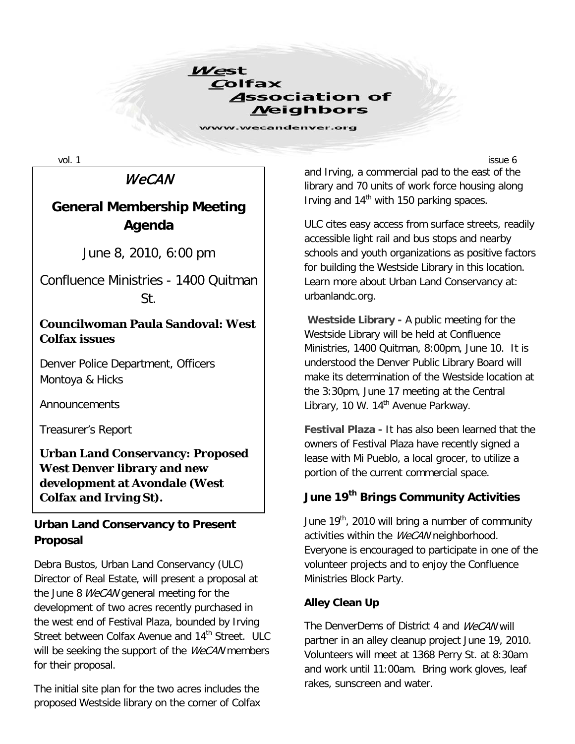

## **WeCAN**

# **General Membership Meeting Agenda**

June 8, 2010, 6:00 pm

Confluence Ministries - 1400 Quitman St.

### **Councilwoman Paula Sandoval: West Colfax issues**

Denver Police Department, Officers Montoya & Hicks

Announcements

Treasurer's Report

**Urban Land Conservancy: Proposed West Denver library and new development at Avondale (West Colfax and Irving St).**

### **Urban Land Conservancy to Present Proposal**

Debra Bustos, Urban Land Conservancy (ULC) Director of Real Estate, will present a proposal at the June 8 *WeCAN* general meeting for the development of two acres recently purchased in the west end of Festival Plaza, bounded by Irving Street between Colfax Avenue and 14<sup>th</sup> Street. ULC will be seeking the support of the WeCAN members for their proposal.

The initial site plan for the two acres includes the proposed Westside library on the corner of Colfax

vol.  $1$  issue 6 and Irving, a commercial pad to the east of the library and 70 units of work force housing along Irving and  $14<sup>th</sup>$  with 150 parking spaces.

> ULC cites easy access from surface streets, readily accessible light rail and bus stops and nearby schools and youth organizations as positive factors for building the Westside Library in this location. Learn more about Urban Land Conservancy at: urbanlandc.org.

> **Westside Library -** A public meeting for the Westside Library will be held at Confluence Ministries, 1400 Quitman, 8:00pm, June 10. It is understood the Denver Public Library Board will make its determination of the Westside location at the 3:30pm, June 17 meeting at the Central Library, 10 W. 14<sup>th</sup> Avenue Parkway.

> **Festival Plaza -** It has also been learned that the owners of Festival Plaza have recently signed a lease with Mi Pueblo, a local grocer, to utilize a portion of the current commercial space.

## **June 19th Brings Community Activities**

June  $19<sup>th</sup>$ , 2010 will bring a number of community activities within the WeCAN neighborhood. Everyone is encouraged to participate in one of the volunteer projects and to enjoy the Confluence Ministries Block Party.

#### **Alley Clean Up**

The DenverDems of District 4 and WeCAN will partner in an alley cleanup project June 19, 2010. Volunteers will meet at 1368 Perry St. at 8:30am and work until 11:00am. Bring work gloves, leaf rakes, sunscreen and water.